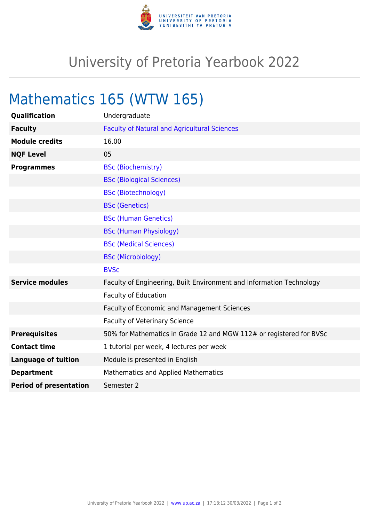

## University of Pretoria Yearbook 2022

## Mathematics 165 (WTW 165)

| Qualification                 | Undergraduate                                                        |
|-------------------------------|----------------------------------------------------------------------|
| <b>Faculty</b>                | <b>Faculty of Natural and Agricultural Sciences</b>                  |
| <b>Module credits</b>         | 16.00                                                                |
| <b>NQF Level</b>              | 05                                                                   |
| <b>Programmes</b>             | <b>BSc (Biochemistry)</b>                                            |
|                               | <b>BSc (Biological Sciences)</b>                                     |
|                               | <b>BSc (Biotechnology)</b>                                           |
|                               | <b>BSc (Genetics)</b>                                                |
|                               | <b>BSc (Human Genetics)</b>                                          |
|                               | <b>BSc (Human Physiology)</b>                                        |
|                               | <b>BSc (Medical Sciences)</b>                                        |
|                               | <b>BSc (Microbiology)</b>                                            |
|                               | <b>BVSc</b>                                                          |
| <b>Service modules</b>        | Faculty of Engineering, Built Environment and Information Technology |
|                               | <b>Faculty of Education</b>                                          |
|                               | <b>Faculty of Economic and Management Sciences</b>                   |
|                               | <b>Faculty of Veterinary Science</b>                                 |
| <b>Prerequisites</b>          | 50% for Mathematics in Grade 12 and MGW 112# or registered for BVSc  |
| <b>Contact time</b>           | 1 tutorial per week, 4 lectures per week                             |
| <b>Language of tuition</b>    | Module is presented in English                                       |
| <b>Department</b>             | <b>Mathematics and Applied Mathematics</b>                           |
| <b>Period of presentation</b> | Semester 2                                                           |